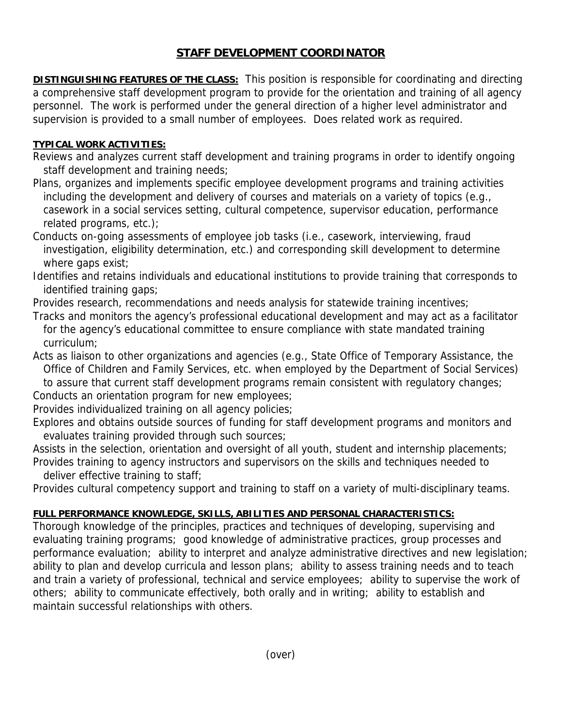## **STAFF DEVELOPMENT COORDINATOR**

**DISTINGUISHING FEATURES OF THE CLASS:** This position is responsible for coordinating and directing a comprehensive staff development program to provide for the orientation and training of all agency personnel. The work is performed under the general direction of a higher level administrator and supervision is provided to a small number of employees. Does related work as required.

## **TYPICAL WORK ACTIVITIES:**

Reviews and analyzes current staff development and training programs in order to identify ongoing staff development and training needs;

Plans, organizes and implements specific employee development programs and training activities including the development and delivery of courses and materials on a variety of topics (e.g., casework in a social services setting, cultural competence, supervisor education, performance related programs, etc.);

Conducts on-going assessments of employee job tasks (i.e., casework, interviewing, fraud investigation, eligibility determination, etc.) and corresponding skill development to determine where gaps exist;

Identifies and retains individuals and educational institutions to provide training that corresponds to identified training gaps;

Provides research, recommendations and needs analysis for statewide training incentives;

Tracks and monitors the agency's professional educational development and may act as a facilitator for the agency's educational committee to ensure compliance with state mandated training curriculum;

Acts as liaison to other organizations and agencies (e.g., State Office of Temporary Assistance, the Office of Children and Family Services, etc. when employed by the Department of Social Services)

 to assure that current staff development programs remain consistent with regulatory changes; Conducts an orientation program for new employees;

Provides individualized training on all agency policies;

Explores and obtains outside sources of funding for staff development programs and monitors and evaluates training provided through such sources;

Assists in the selection, orientation and oversight of all youth, student and internship placements; Provides training to agency instructors and supervisors on the skills and techniques needed to

deliver effective training to staff;

Provides cultural competency support and training to staff on a variety of multi-disciplinary teams.

## **FULL PERFORMANCE KNOWLEDGE, SKILLS, ABILITIES AND PERSONAL CHARACTERISTICS:**

Thorough knowledge of the principles, practices and techniques of developing, supervising and evaluating training programs; good knowledge of administrative practices, group processes and performance evaluation; ability to interpret and analyze administrative directives and new legislation; ability to plan and develop curricula and lesson plans; ability to assess training needs and to teach and train a variety of professional, technical and service employees; ability to supervise the work of others; ability to communicate effectively, both orally and in writing; ability to establish and maintain successful relationships with others.